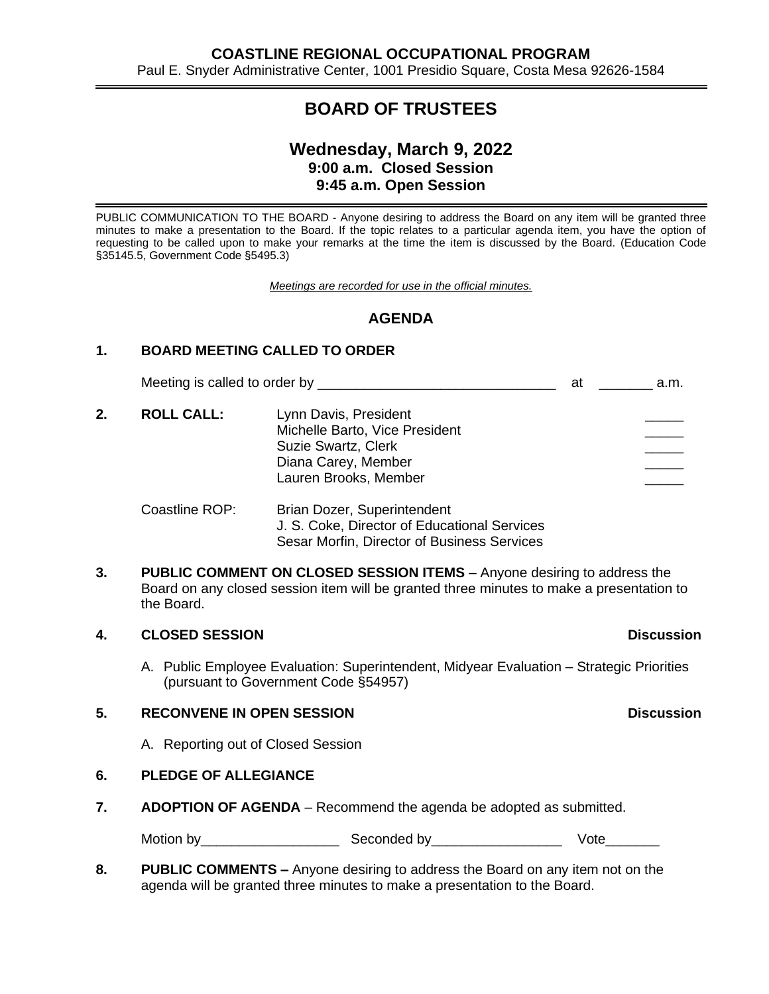# **BOARD OF TRUSTEES**

## **Wednesday, March 9, 2022 9:00 a.m. Closed Session 9:45 a.m. Open Session**

PUBLIC COMMUNICATION TO THE BOARD - Anyone desiring to address the Board on any item will be granted three minutes to make a presentation to the Board. If the topic relates to a particular agenda item, you have the option of requesting to be called upon to make your remarks at the time the item is discussed by the Board. (Education Code §35145.5, Government Code §5495.3)

*Meetings are recorded for use in the official minutes.*

## **AGENDA**

### **1. BOARD MEETING CALLED TO ORDER**

Meeting is called to order by \_\_\_\_\_\_\_\_\_\_\_\_\_\_\_\_\_\_\_\_\_\_\_\_\_\_\_\_\_\_\_ at \_\_\_\_\_\_\_ a.m.

2. **ROLL CALL:** Lynn Davis, President Michelle Barto, Vice President Suzie Swartz, Clerk Diana Carey, Member Lauren Brooks, Member

#### Coastline ROP: Brian Dozer, Superintendent J. S. Coke, Director of Educational Services Sesar Morfin, Director of Business Services

**3. PUBLIC COMMENT ON CLOSED SESSION ITEMS** – Anyone desiring to address the Board on any closed session item will be granted three minutes to make a presentation to the Board.

#### **4. CLOSED SESSION Discussion**

A. Public Employee Evaluation: Superintendent, Midyear Evaluation – Strategic Priorities (pursuant to Government Code §54957)

#### **5. RECONVENE IN OPEN SESSION Discussion**

A. Reporting out of Closed Session

#### **6. PLEDGE OF ALLEGIANCE**

**7. ADOPTION OF AGENDA** – Recommend the agenda be adopted as submitted.

Motion by\_\_\_\_\_\_\_\_\_\_\_\_\_\_\_\_\_\_ Seconded by\_\_\_\_\_\_\_\_\_\_\_\_\_\_\_\_\_ Vote\_\_\_\_\_\_\_

**8. PUBLIC COMMENTS –** Anyone desiring to address the Board on any item not on the agenda will be granted three minutes to make a presentation to the Board.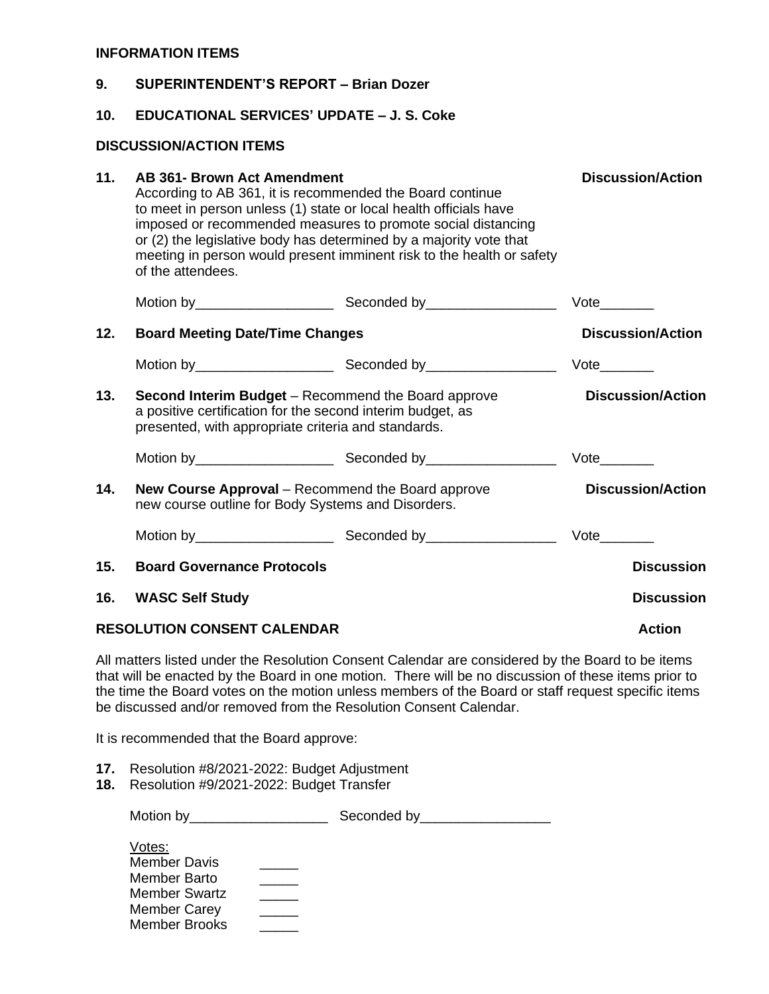#### **INFORMATION ITEMS**

| 9.                             | <b>SUPERINTENDENT'S REPORT - Brian Dozer</b>                                                                                                                                                                                                                                                                                                                                                             |                          |                             |  |  |  |  |  |
|--------------------------------|----------------------------------------------------------------------------------------------------------------------------------------------------------------------------------------------------------------------------------------------------------------------------------------------------------------------------------------------------------------------------------------------------------|--------------------------|-----------------------------|--|--|--|--|--|
| 10.                            | <b>EDUCATIONAL SERVICES' UPDATE – J. S. Coke</b>                                                                                                                                                                                                                                                                                                                                                         |                          |                             |  |  |  |  |  |
| <b>DISCUSSION/ACTION ITEMS</b> |                                                                                                                                                                                                                                                                                                                                                                                                          |                          |                             |  |  |  |  |  |
| 11.                            | <b>AB 361- Brown Act Amendment</b><br>According to AB 361, it is recommended the Board continue<br>to meet in person unless (1) state or local health officials have<br>imposed or recommended measures to promote social distancing<br>or (2) the legislative body has determined by a majority vote that<br>meeting in person would present imminent risk to the health or safety<br>of the attendees. | <b>Discussion/Action</b> |                             |  |  |  |  |  |
|                                |                                                                                                                                                                                                                                                                                                                                                                                                          |                          |                             |  |  |  |  |  |
| 12.                            | <b>Board Meeting Date/Time Changes</b>                                                                                                                                                                                                                                                                                                                                                                   | <b>Discussion/Action</b> |                             |  |  |  |  |  |
|                                |                                                                                                                                                                                                                                                                                                                                                                                                          |                          |                             |  |  |  |  |  |
| 13.                            | <b>Second Interim Budget</b> – Recommend the Board approve<br>a positive certification for the second interim budget, as<br>presented, with appropriate criteria and standards.                                                                                                                                                                                                                          | <b>Discussion/Action</b> |                             |  |  |  |  |  |
|                                |                                                                                                                                                                                                                                                                                                                                                                                                          |                          | $Vote$ <sub>_________</sub> |  |  |  |  |  |
| 14.                            | New Course Approval - Recommend the Board approve<br>new course outline for Body Systems and Disorders.                                                                                                                                                                                                                                                                                                  |                          | <b>Discussion/Action</b>    |  |  |  |  |  |
|                                |                                                                                                                                                                                                                                                                                                                                                                                                          |                          |                             |  |  |  |  |  |
| 15.                            | <b>Board Governance Protocols</b>                                                                                                                                                                                                                                                                                                                                                                        |                          | <b>Discussion</b>           |  |  |  |  |  |
| 16.                            | <b>WASC Self Study</b>                                                                                                                                                                                                                                                                                                                                                                                   |                          | <b>Discussion</b>           |  |  |  |  |  |
|                                | <b>RESOLUTION CONSENT CALENDAR</b>                                                                                                                                                                                                                                                                                                                                                                       | <b>Action</b>            |                             |  |  |  |  |  |

All matters listed under the Resolution Consent Calendar are considered by the Board to be items that will be enacted by the Board in one motion. There will be no discussion of these items prior to the time the Board votes on the motion unless members of the Board or staff request specific items be discussed and/or removed from the Resolution Consent Calendar.

It is recommended that the Board approve:

- **17.** Resolution #8/2021-2022: Budget Adjustment
- **18.** Resolution #9/2021-2022: Budget Transfer

| Motion by | Seconded by |
|-----------|-------------|
|           |             |

| Votes:               |  |
|----------------------|--|
| <b>Member Davis</b>  |  |
| Member Barto         |  |
| Member Swartz        |  |
| <b>Member Carey</b>  |  |
| <b>Member Brooks</b> |  |